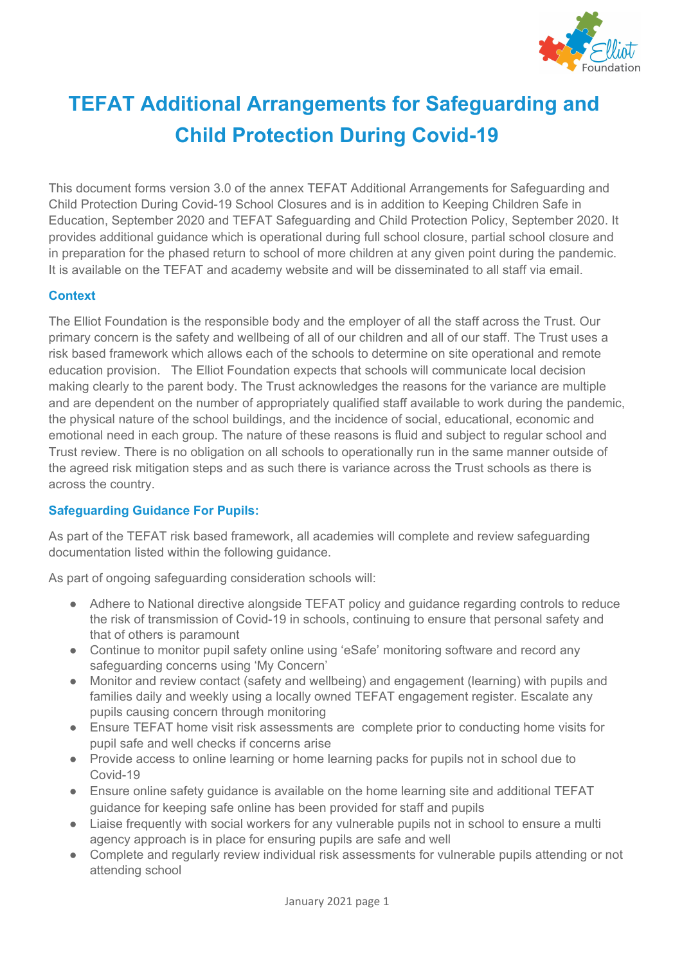

# **TEFAT Additional Arrangements for Safeguarding and Child Protection During Covid-19**

This document forms version 3.0 of the annex TEFAT Additional Arrangements for Safeguarding and Child Protection During Covid-19 School Closures and is in addition to Keeping Children Safe in Education, September 2020 and TEFAT Safeguarding and Child Protection Policy, September 2020. It provides additional guidance which is operational during full school closure, partial school closure and in preparation for the phased return to school of more children at any given point during the pandemic. It is available on the TEFAT and academy website and will be disseminated to all staff via email.

### **Context**

The Elliot Foundation is the responsible body and the employer of all the staff across the Trust. Our primary concern is the safety and wellbeing of all of our children and all of our staff. The Trust uses a risk based framework which allows each of the schools to determine on site operational and remote education provision. The Elliot Foundation expects that schools will communicate local decision making clearly to the parent body. The Trust acknowledges the reasons for the variance are multiple and are dependent on the number of appropriately qualified staff available to work during the pandemic, the physical nature of the school buildings, and the incidence of social, educational, economic and emotional need in each group. The nature of these reasons is fluid and subject to regular school and Trust review. There is no obligation on all schools to operationally run in the same manner outside of the agreed risk mitigation steps and as such there is variance across the Trust schools as there is across the country.

### **Safeguarding Guidance For Pupils:**

As part of the TEFAT risk based framework, all academies will complete and review safeguarding documentation listed within the following guidance.

As part of ongoing safeguarding consideration schools will:

- Adhere to National directive alongside TEFAT policy and guidance regarding controls to reduce the risk of transmission of Covid-19 in schools, continuing to ensure that personal safety and that of others is paramount
- Continue to monitor pupil safety online using 'eSafe' monitoring software and record any safeguarding concerns using 'My Concern'
- Monitor and review contact (safety and wellbeing) and engagement (learning) with pupils and families daily and weekly using a locally owned TEFAT engagement register. Escalate any pupils causing concern through monitoring
- Ensure TEFAT home visit risk assessments are complete prior to conducting home visits for pupil safe and well checks if concerns arise
- Provide access to online learning or home learning packs for pupils not in school due to Covid-19
- Ensure online safety guidance is available on the home learning site and additional TEFAT guidance for keeping safe online has been provided for staff and pupils
- Liaise frequently with social workers for any vulnerable pupils not in school to ensure a multi agency approach is in place for ensuring pupils are safe and well
- Complete and regularly review individual risk assessments for vulnerable pupils attending or not attending school